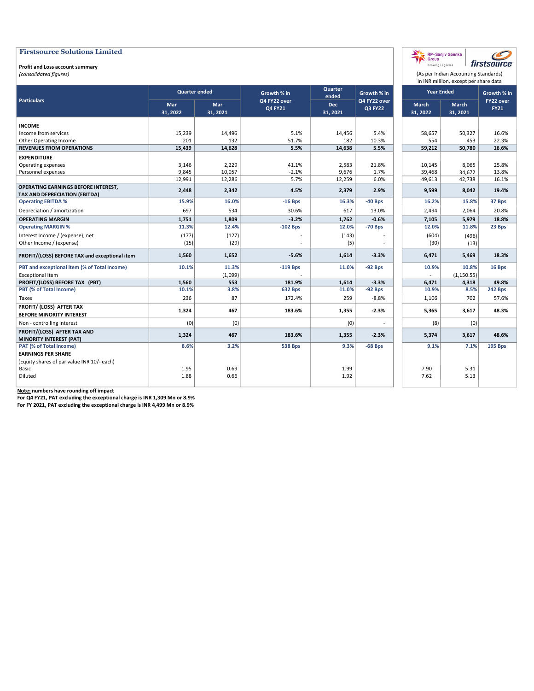#### Profit and Loss account summary

(consolidated figures)

| Quarter<br><b>Quarter ended</b><br><b>Year Ended</b><br>Growth % in<br>Growth % in<br>ended<br><b>Particulars</b><br>Q4 FY22 over<br>Q4 FY22 over<br>Mar<br><b>Mar</b><br><b>Dec</b><br>March<br>March<br>Q4 FY21<br>Q3 FY22<br>31, 2021<br>31, 2022<br>31, 2022<br>31, 2021<br>31, 2021<br><b>INCOME</b><br>Income from services<br>15,239<br>5.1%<br>5.4%<br>14,496<br>14,456<br>58,657<br>50,327<br>Other Operating Income<br>201<br>132<br>51.7%<br>182<br>10.3%<br>554<br>453 | Growth % in<br>FY22 over<br><b>FY21</b><br>16.6%<br>22.3%<br>16.6%<br>25.8%<br>13.8%<br>16.1% |
|------------------------------------------------------------------------------------------------------------------------------------------------------------------------------------------------------------------------------------------------------------------------------------------------------------------------------------------------------------------------------------------------------------------------------------------------------------------------------------|-----------------------------------------------------------------------------------------------|
|                                                                                                                                                                                                                                                                                                                                                                                                                                                                                    |                                                                                               |
|                                                                                                                                                                                                                                                                                                                                                                                                                                                                                    |                                                                                               |
|                                                                                                                                                                                                                                                                                                                                                                                                                                                                                    |                                                                                               |
|                                                                                                                                                                                                                                                                                                                                                                                                                                                                                    |                                                                                               |
|                                                                                                                                                                                                                                                                                                                                                                                                                                                                                    |                                                                                               |
| 15,439<br>14,628<br>5.5%<br>14,638<br>5.5%<br><b>REVENUES FROM OPERATIONS</b><br>59,212<br>50,780                                                                                                                                                                                                                                                                                                                                                                                  |                                                                                               |
| <b>EXPENDITURE</b>                                                                                                                                                                                                                                                                                                                                                                                                                                                                 |                                                                                               |
| 3,146<br>Operating expenses<br>2,229<br>41.1%<br>2,583<br>21.8%<br>10,145<br>8,065                                                                                                                                                                                                                                                                                                                                                                                                 |                                                                                               |
| 9,845<br>9,676<br>Personnel expenses<br>10,057<br>$-2.1%$<br>1.7%<br>39,468<br>34,672                                                                                                                                                                                                                                                                                                                                                                                              |                                                                                               |
| 5.7%<br>12,991<br>12,286<br>12,259<br>6.0%<br>49,613<br>42,738                                                                                                                                                                                                                                                                                                                                                                                                                     |                                                                                               |
| OPERATING EARNINGS BEFORE INTEREST,<br>2,448<br>2,342<br>9,599<br>4.5%<br>2,379<br>2.9%<br>8,042<br><b>TAX AND DEPRECIATION (EBITDA)</b>                                                                                                                                                                                                                                                                                                                                           | 19.4%                                                                                         |
| 15.9%<br>16.0%<br>16.2%<br>$-16$ Bps<br>16.3%<br>$-40$ Bps<br>15.8%<br><b>Operating EBITDA %</b>                                                                                                                                                                                                                                                                                                                                                                                   | 37 Bps                                                                                        |
| Depreciation / amortization<br>697<br>617<br>534<br>30.6%<br>13.0%<br>2,494<br>2,064                                                                                                                                                                                                                                                                                                                                                                                               | 20.8%                                                                                         |
| 1,751<br>$-3.2%$<br>1,762<br>$-0.6%$<br>7,105<br><b>OPERATING MARGIN</b><br>1,809<br>5,979                                                                                                                                                                                                                                                                                                                                                                                         | 18.8%                                                                                         |
| 11.3%<br>12.4%<br>$-102$ Bps<br>12.0%<br>$-70$ Bps<br>12.0%<br>11.8%<br><b>Operating MARGIN %</b>                                                                                                                                                                                                                                                                                                                                                                                  | 23 Bps                                                                                        |
| Interest Income / (expense), net<br>(177)<br>(127)<br>(143)<br>(604)<br>(496)                                                                                                                                                                                                                                                                                                                                                                                                      |                                                                                               |
| Other Income / (expense)<br>(15)<br>(29)<br>(5)<br>(30)<br>(13)                                                                                                                                                                                                                                                                                                                                                                                                                    |                                                                                               |
| 1,560<br>1,652<br>$-5.6%$<br>1,614<br>$-3.3%$<br>6,471<br>5,469<br>PROFIT/(LOSS) BEFORE TAX and exceptional item                                                                                                                                                                                                                                                                                                                                                                   | 18.3%                                                                                         |
| 10.8%<br>PBT and exceptional item (% of Total Income)<br>10.1%<br>11.3%<br>$-119$ Bps<br>11.0%<br>$-92$ Bps<br>10.9%                                                                                                                                                                                                                                                                                                                                                               | 16 Bps                                                                                        |
| <b>Exceptional Item</b><br>(1,099)<br>(1, 150.55)                                                                                                                                                                                                                                                                                                                                                                                                                                  |                                                                                               |
| PROFIT/(LOSS) BEFORE TAX (PBT)<br>1,560<br>553<br>181.9%<br>1,614<br>$-3.3%$<br>6,471<br>4,318                                                                                                                                                                                                                                                                                                                                                                                     | 49.8%                                                                                         |
| PBT (% of Total Income)<br>10.1%<br>3.8%<br>10.9%<br>8.5%<br><b>632 Bps</b><br>11.0%<br>$-92$ Bps                                                                                                                                                                                                                                                                                                                                                                                  | 242 Bps                                                                                       |
| 236<br>87<br>172.4%<br>259<br>Taxes<br>$-8.8%$<br>1,106<br>702                                                                                                                                                                                                                                                                                                                                                                                                                     | 57.6%                                                                                         |
| PROFIT/ (LOSS) AFTER TAX<br>1,324<br>467<br>183.6%<br>$-2.3%$<br>1,355<br>5,365<br>3,617<br>BEFORE MINORITY INTEREST                                                                                                                                                                                                                                                                                                                                                               | 48.3%                                                                                         |
| (0)<br>(0)<br>(8)<br>(0)<br>Non - controlling interest<br>(0)                                                                                                                                                                                                                                                                                                                                                                                                                      |                                                                                               |
| PROFIT/(LOSS) AFTER TAX AND<br>1,324<br>467<br>183.6%<br>1,355<br>$-2.3%$<br>5,374<br>3,617<br><b>MINORITY INTEREST (PAT)</b>                                                                                                                                                                                                                                                                                                                                                      | 48.6%                                                                                         |
| 8.6%<br>3.2%<br><b>538 Bps</b><br>9.3%<br>$-68$ Bps<br>9.1%<br>7.1%<br>PAT (% of Total Income)                                                                                                                                                                                                                                                                                                                                                                                     | <b>195 Bps</b>                                                                                |
| <b>EARNINGS PER SHARE</b>                                                                                                                                                                                                                                                                                                                                                                                                                                                          |                                                                                               |
| (Equity shares of par value INR 10/- each)                                                                                                                                                                                                                                                                                                                                                                                                                                         |                                                                                               |
| 0.69<br>1.99<br>7.90<br>Basic<br>1.95<br>5.31                                                                                                                                                                                                                                                                                                                                                                                                                                      |                                                                                               |
| Diluted<br>0.66<br>1.92<br>7.62<br>1.88<br>5.13                                                                                                                                                                                                                                                                                                                                                                                                                                    |                                                                                               |

(As per Indian Accounting Standards)

firstsource

RP-Sanjiv Goenka

Note: numbers have rounding off impact

For Q4 FY21, PAT excluding the exceptional charge is INR 1,309 Mn or 8.9%

For FY 2021, PAT excluding the exceptional charge is INR 4,499 Mn or 8.9%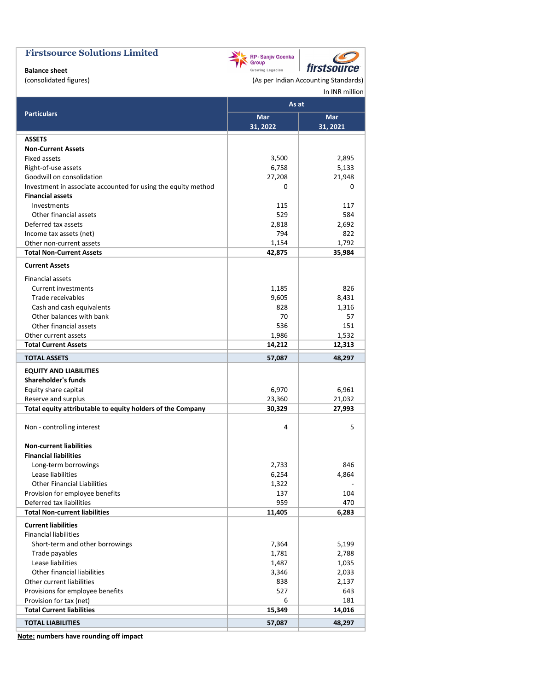# **Balance sheet**<br>(consolidated figures)

| RP-Sanjiv Goenka<br>Group |                    |
|---------------------------|--------------------|
| Growing Legacies          | <i>firstsource</i> |

(As per Indian Accounting Standards)

#### In INR million

 $\mathcal C$ 

|                                                               | As at    |          |
|---------------------------------------------------------------|----------|----------|
| <b>Particulars</b>                                            | Mar      | Mar      |
|                                                               | 31, 2022 | 31, 2021 |
| <b>ASSETS</b>                                                 |          |          |
| <b>Non-Current Assets</b>                                     |          |          |
| <b>Fixed assets</b>                                           | 3,500    | 2,895    |
| Right-of-use assets                                           | 6,758    | 5,133    |
| Goodwill on consolidation                                     | 27,208   | 21,948   |
| Investment in associate accounted for using the equity method | 0        | 0        |
| <b>Financial assets</b>                                       |          |          |
| Investments                                                   | 115      | 117      |
| Other financial assets                                        | 529      | 584      |
| Deferred tax assets                                           | 2,818    | 2,692    |
| Income tax assets (net)                                       | 794      | 822      |
| Other non-current assets                                      | 1,154    | 1,792    |
| <b>Total Non-Current Assets</b>                               | 42,875   | 35,984   |
| <b>Current Assets</b>                                         |          |          |
| <b>Financial assets</b>                                       |          |          |
| Current investments                                           | 1,185    | 826      |
| Trade receivables                                             | 9,605    | 8,431    |
| Cash and cash equivalents                                     | 828      | 1,316    |
| Other balances with bank                                      | 70       | 57       |
| Other financial assets                                        | 536      | 151      |
| Other current assets                                          | 1,986    | 1,532    |
| <b>Total Current Assets</b>                                   | 14,212   | 12,313   |
| <b>TOTAL ASSETS</b>                                           | 57,087   | 48,297   |
| <b>EQUITY AND LIABILITIES</b>                                 |          |          |
| <b>Shareholder's funds</b>                                    |          |          |
| Equity share capital                                          | 6,970    | 6,961    |
| Reserve and surplus                                           | 23,360   | 21,032   |
| Total equity attributable to equity holders of the Company    | 30,329   | 27,993   |
|                                                               |          |          |
| Non - controlling interest                                    | 4        | 5        |
| <b>Non-current liabilities</b>                                |          |          |
| <b>Financial liabilities</b>                                  |          |          |
| Long-term borrowings                                          | 2,733    | 846      |
| Lease liabilities                                             | 6,254    | 4,864    |
| <b>Other Financial Liabilities</b>                            | 1,322    |          |
| Provision for employee benefits                               | 137      | 104      |
| Deferred tax liabilities                                      | 959      | 470      |
| <b>Total Non-current liabilities</b>                          | 11,405   | 6,283    |
| <b>Current liabilities</b>                                    |          |          |
| <b>Financial liabilities</b>                                  |          |          |
| Short-term and other borrowings                               | 7,364    | 5,199    |
| Trade payables                                                | 1,781    | 2,788    |
| Lease liabilities                                             | 1,487    | 1,035    |
| Other financial liabilities                                   | 3,346    | 2,033    |
| Other current liabilities                                     | 838      | 2,137    |
| Provisions for employee benefits                              | 527      | 643      |
| Provision for tax (net)                                       | 6        | 181      |
| <b>Total Current liabilities</b>                              | 15,349   | 14,016   |
| <b>TOTAL LIABILITIES</b>                                      | 57,087   | 48,297   |

Note: numbers have rounding off impact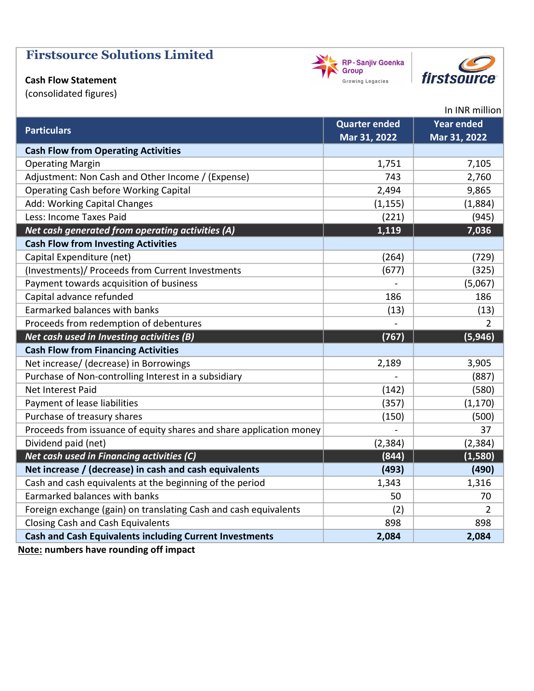### Cash Flow Statement

(consolidated figures)

|                                                                     | <b>Quarter ended</b> | <b>Year ended</b> |
|---------------------------------------------------------------------|----------------------|-------------------|
| <b>Particulars</b>                                                  | Mar 31, 2022         | Mar 31, 2022      |
| <b>Cash Flow from Operating Activities</b>                          |                      |                   |
| <b>Operating Margin</b>                                             | 1,751                | 7,105             |
| Adjustment: Non Cash and Other Income / (Expense)                   | 743                  | 2,760             |
| <b>Operating Cash before Working Capital</b>                        | 2,494                | 9,865             |
| Add: Working Capital Changes                                        | (1, 155)             | (1,884)           |
| Less: Income Taxes Paid                                             | (221)                | (945)             |
| Net cash generated from operating activities (A)                    | 1,119                | 7,036             |
| <b>Cash Flow from Investing Activities</b>                          |                      |                   |
| Capital Expenditure (net)                                           | (264)                | (729)             |
| (Investments)/ Proceeds from Current Investments                    | (677)                | (325)             |
| Payment towards acquisition of business                             |                      | (5,067)           |
| Capital advance refunded                                            | 186                  | 186               |
| Earmarked balances with banks                                       | (13)                 | (13)              |
| Proceeds from redemption of debentures                              |                      | 2                 |
| Net cash used in Investing activities (B)                           | (767)                | (5, 946)          |
| <b>Cash Flow from Financing Activities</b>                          |                      |                   |
| Net increase/ (decrease) in Borrowings                              | 2,189                | 3,905             |
| Purchase of Non-controlling Interest in a subsidiary                |                      | (887)             |
| Net Interest Paid                                                   | (142)                | (580)             |
| Payment of lease liabilities                                        | (357)                | (1, 170)          |
| Purchase of treasury shares                                         | (150)                | (500)             |
| Proceeds from issuance of equity shares and share application money |                      | 37                |
| Dividend paid (net)                                                 | (2, 384)             | (2, 384)          |
| Net cash used in Financing activities (C)                           | (844)                | (1, 580)          |
| Net increase / (decrease) in cash and cash equivalents              | (493)                | (490)             |
| Cash and cash equivalents at the beginning of the period            | 1,343                | 1,316             |
| Earmarked balances with banks                                       | 50                   | 70                |
| Foreign exchange (gain) on translating Cash and cash equivalents    | (2)                  | 2                 |
| <b>Closing Cash and Cash Equivalents</b>                            | 898                  | 898               |
| <b>Cash and Cash Equivalents including Current Investments</b>      | 2,084                | 2,084             |

Note: numbers have rounding off impact





In INR million